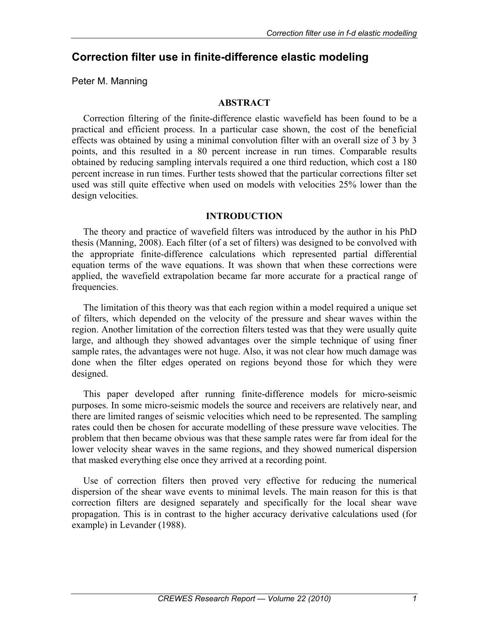# **Correction filter use in finite-difference elastic modeling**

Peter M. Manning

### **ABSTRACT**

Correction filtering of the finite-difference elastic wavefield has been found to be a practical and efficient process. In a particular case shown, the cost of the beneficial effects was obtained by using a minimal convolution filter with an overall size of 3 by 3 points, and this resulted in a 80 percent increase in run times. Comparable results obtained by reducing sampling intervals required a one third reduction, which cost a 180 percent increase in run times. Further tests showed that the particular corrections filter set used was still quite effective when used on models with velocities 25% lower than the design velocities.

### **INTRODUCTION**

The theory and practice of wavefield filters was introduced by the author in his PhD thesis (Manning, 2008). Each filter (of a set of filters) was designed to be convolved with the appropriate finite-difference calculations which represented partial differential equation terms of the wave equations. It was shown that when these corrections were applied, the wavefield extrapolation became far more accurate for a practical range of frequencies.

The limitation of this theory was that each region within a model required a unique set of filters, which depended on the velocity of the pressure and shear waves within the region. Another limitation of the correction filters tested was that they were usually quite large, and although they showed advantages over the simple technique of using finer sample rates, the advantages were not huge. Also, it was not clear how much damage was done when the filter edges operated on regions beyond those for which they were designed.

This paper developed after running finite-difference models for micro-seismic purposes. In some micro-seismic models the source and receivers are relatively near, and there are limited ranges of seismic velocities which need to be represented. The sampling rates could then be chosen for accurate modelling of these pressure wave velocities. The problem that then became obvious was that these sample rates were far from ideal for the lower velocity shear waves in the same regions, and they showed numerical dispersion that masked everything else once they arrived at a recording point.

Use of correction filters then proved very effective for reducing the numerical dispersion of the shear wave events to minimal levels. The main reason for this is that correction filters are designed separately and specifically for the local shear wave propagation. This is in contrast to the higher accuracy derivative calculations used (for example) in Levander (1988).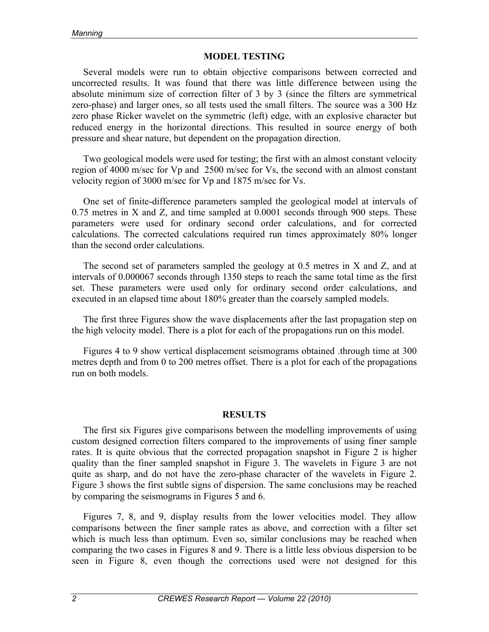### **MODEL TESTING**

Several models were run to obtain objective comparisons between corrected and uncorrected results. It was found that there was little difference between using the absolute minimum size of correction filter of 3 by 3 (since the filters are symmetrical zero-phase) and larger ones, so all tests used the small filters. The source was a 300 Hz zero phase Ricker wavelet on the symmetric (left) edge, with an explosive character but reduced energy in the horizontal directions. This resulted in source energy of both pressure and shear nature, but dependent on the propagation direction.

Two geological models were used for testing; the first with an almost constant velocity region of 4000 m/sec for Vp and 2500 m/sec for Vs, the second with an almost constant velocity region of 3000 m/sec for Vp and 1875 m/sec for Vs.

One set of finite-difference parameters sampled the geological model at intervals of 0.75 metres in X and Z, and time sampled at 0.0001 seconds through 900 steps. These parameters were used for ordinary second order calculations, and for corrected calculations. The corrected calculations required run times approximately 80% longer than the second order calculations.

The second set of parameters sampled the geology at 0.5 metres in X and Z, and at intervals of 0.000067 seconds through 1350 steps to reach the same total time as the first set. These parameters were used only for ordinary second order calculations, and executed in an elapsed time about 180% greater than the coarsely sampled models.

The first three Figures show the wave displacements after the last propagation step on the high velocity model. There is a plot for each of the propagations run on this model.

Figures 4 to 9 show vertical displacement seismograms obtained .through time at 300 metres depth and from 0 to 200 metres offset. There is a plot for each of the propagations run on both models.

## **RESULTS**

The first six Figures give comparisons between the modelling improvements of using custom designed correction filters compared to the improvements of using finer sample rates. It is quite obvious that the corrected propagation snapshot in Figure 2 is higher quality than the finer sampled snapshot in Figure 3. The wavelets in Figure 3 are not quite as sharp, and do not have the zero-phase character of the wavelets in Figure 2. Figure 3 shows the first subtle signs of dispersion. The same conclusions may be reached by comparing the seismograms in Figures 5 and 6.

Figures 7, 8, and 9, display results from the lower velocities model. They allow comparisons between the finer sample rates as above, and correction with a filter set which is much less than optimum. Even so, similar conclusions may be reached when comparing the two cases in Figures 8 and 9. There is a little less obvious dispersion to be seen in Figure 8, even though the corrections used were not designed for this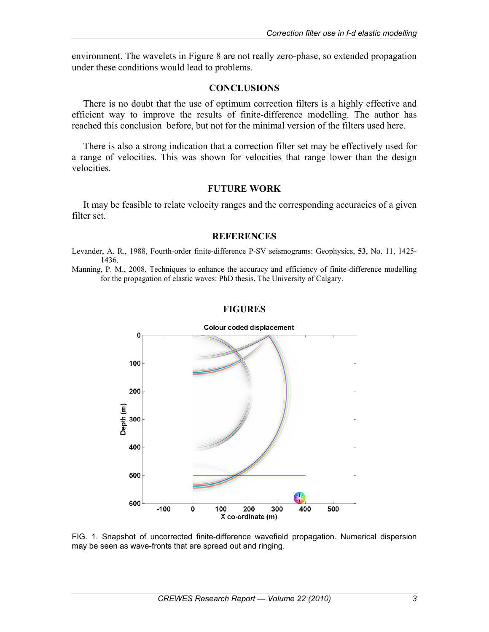environment. The wavelets in Figure 8 are not really zero-phase, so extended propagation under these conditions would lead to problems.

### **CONCLUSIONS**

There is no doubt that the use of optimum correction filters is a highly effective and efficient way to improve the results of finite-difference modelling. The author has reached this conclusion before, but not for the minimal version of the filters used here.

There is also a strong indication that a correction filter set may be effectively used for a range of velocities. This was shown for velocities that range lower than the design velocities.

### **FUTURE WORK**

It may be feasible to relate velocity ranges and the corresponding accuracies of a given filter set.

#### **REFERENCES**

Levander, A. R., 1988, Fourth-order finite-difference P-SV seismograms: Geophysics, **53**, No. 11, 1425- 1436.

Manning, P. M., 2008, Techniques to enhance the accuracy and efficiency of finite-difference modelling for the propagation of elastic waves: PhD thesis, The University of Calgary.

#### **FIGURES**



FIG. 1. Snapshot of uncorrected finite-difference wavefield propagation. Numerical dispersion may be seen as wave-fronts that are spread out and ringing.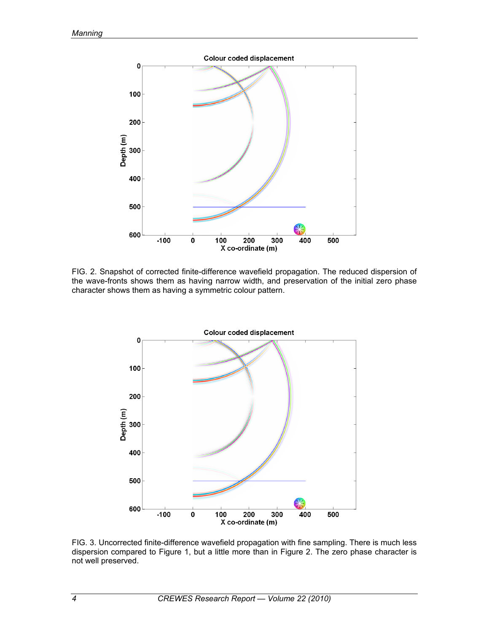

FIG. 2. Snapshot of corrected finite-difference wavefield propagation. The reduced dispersion of the wave-fronts shows them as having narrow width, and preservation of the initial zero phase character shows them as having a symmetric colour pattern.



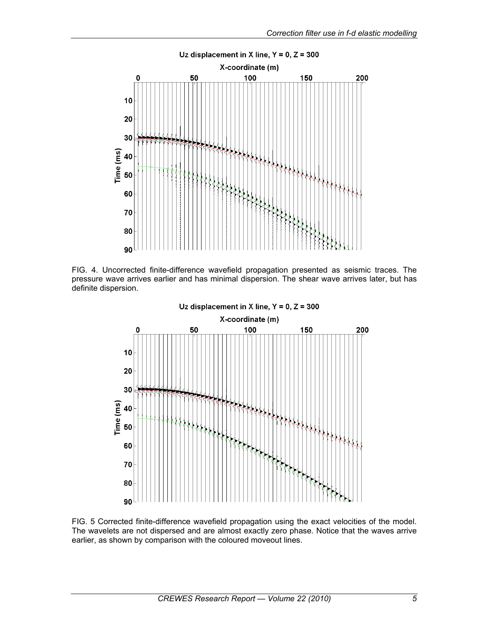

FIG. 4. Uncorrected finite-difference wavefield propagation presented as seismic traces. The pressure wave arrives earlier and has minimal dispersion. The shear wave arrives later, but has definite dispersion.



FIG. 5 Corrected finite-difference wavefield propagation using the exact velocities of the model. The wavelets are not dispersed and are almost exactly zero phase. Notice that the waves arrive earlier, as shown by comparison with the coloured moveout lines.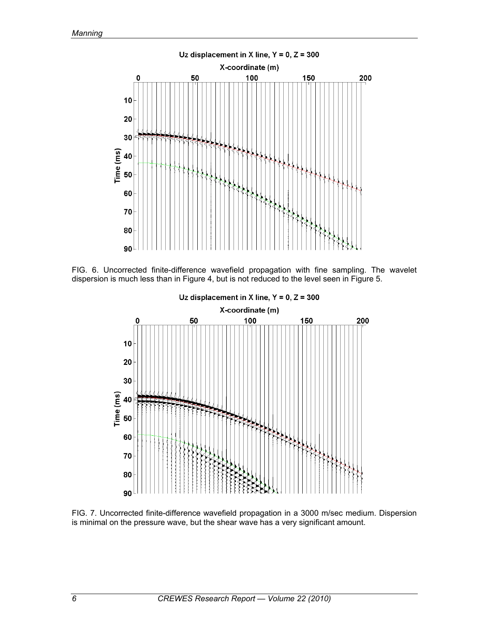

FIG. 6. Uncorrected finite-difference wavefield propagation with fine sampling. The wavelet dispersion is much less than in Figure 4, but is not reduced to the level seen in Figure 5.



FIG. 7. Uncorrected finite-difference wavefield propagation in a 3000 m/sec medium. Dispersion is minimal on the pressure wave, but the shear wave has a very significant amount.